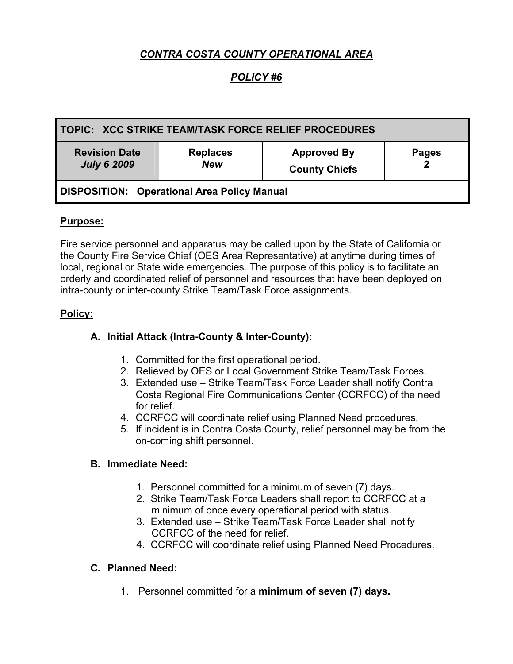# *CONTRA COSTA COUNTY OPERATIONAL AREA*

# *POLICY #6*

| TOPIC: XCC STRIKE TEAM/TASK FORCE RELIEF PROCEDURES |                               |                                            |                   |
|-----------------------------------------------------|-------------------------------|--------------------------------------------|-------------------|
| <b>Revision Date</b><br><b>July 6 2009</b>          | <b>Replaces</b><br><b>New</b> | <b>Approved By</b><br><b>County Chiefs</b> | <b>Pages</b><br>າ |
| <b>DISPOSITION: Operational Area Policy Manual</b>  |                               |                                            |                   |

### **Purpose:**

Fire service personnel and apparatus may be called upon by the State of California or the County Fire Service Chief (OES Area Representative) at anytime during times of local, regional or State wide emergencies. The purpose of this policy is to facilitate an orderly and coordinated relief of personnel and resources that have been deployed on intra-county or inter-county Strike Team/Task Force assignments.

### **Policy:**

### **A. Initial Attack (Intra-County & Inter-County):**

- 1. Committed for the first operational period.
- 2. Relieved by OES or Local Government Strike Team/Task Forces.
- 3. Extended use Strike Team/Task Force Leader shall notify Contra Costa Regional Fire Communications Center (CCRFCC) of the need for relief.
- 4. CCRFCC will coordinate relief using Planned Need procedures.
- 5. If incident is in Contra Costa County, relief personnel may be from the on-coming shift personnel.

### **B. Immediate Need:**

- 1. Personnel committed for a minimum of seven (7) days.
- 2. Strike Team/Task Force Leaders shall report to CCRFCC at a minimum of once every operational period with status.
- 3. Extended use Strike Team/Task Force Leader shall notify CCRFCC of the need for relief.
- 4. CCRFCC will coordinate relief using Planned Need Procedures.

### **C. Planned Need:**

1. Personnel committed for a **minimum of seven (7) days.**